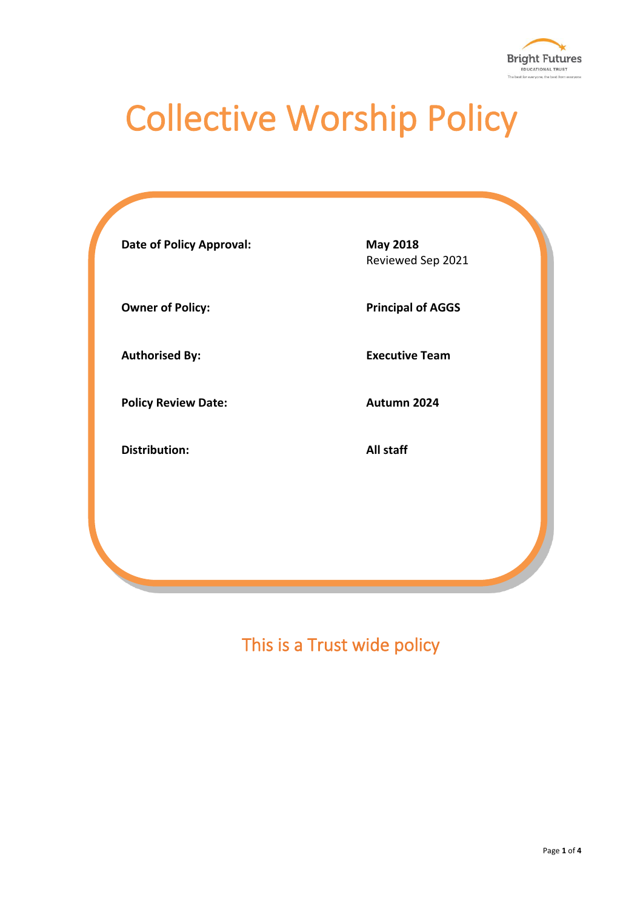

# Collective Worship Policy

| <b>Date of Policy Approval:</b> | <b>May 2018</b><br>Reviewed Sep 2021 |
|---------------------------------|--------------------------------------|
| <b>Owner of Policy:</b>         | <b>Principal of AGGS</b>             |
| <b>Authorised By:</b>           | <b>Executive Team</b>                |
| <b>Policy Review Date:</b>      | Autumn 2024                          |
| <b>Distribution:</b>            | All staff                            |
|                                 |                                      |
|                                 |                                      |

This is a Trust wide policy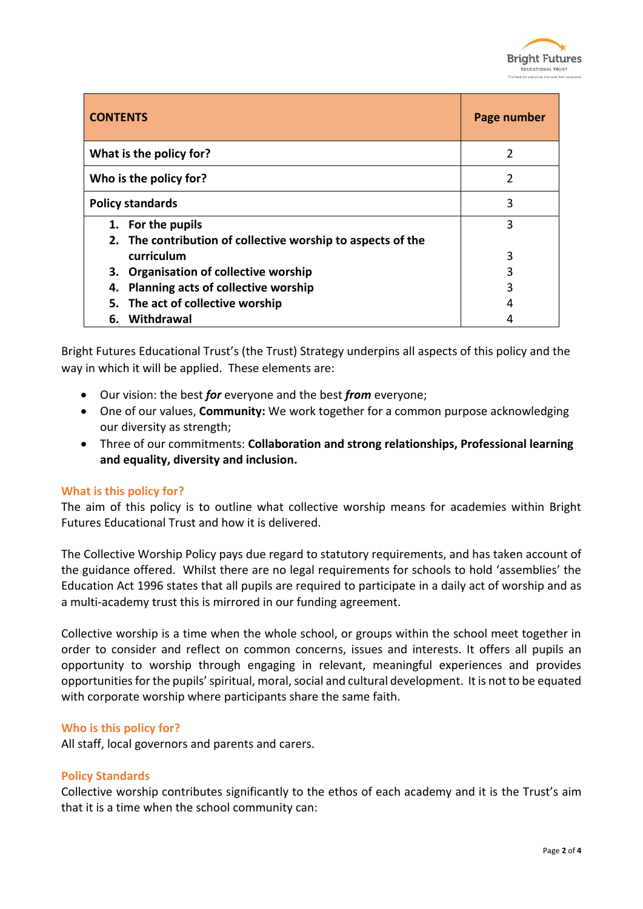

| <b>CONTENTS</b>                                             | Page number    |
|-------------------------------------------------------------|----------------|
| What is the policy for?                                     | 2              |
| Who is the policy for?                                      | $\overline{2}$ |
| <b>Policy standards</b>                                     | 3              |
| 1. For the pupils                                           | 3              |
| 2. The contribution of collective worship to aspects of the |                |
| curriculum                                                  | 3              |
| 3. Organisation of collective worship                       | 3              |
| 4. Planning acts of collective worship                      | 3              |
| 5. The act of collective worship                            | 4              |
| 6. Withdrawal                                               |                |

Bright Futures Educational Trust's (the Trust) Strategy underpins all aspects of this policy and the way in which it will be applied. These elements are:

- Our vision: the best *for* everyone and the best *from* everyone;
- One of our values, **Community:** We work together for a common purpose acknowledging our diversity as strength;
- Three of our commitments: **Collaboration and strong relationships, Professional learning and equality, diversity and inclusion.**

#### **What is this policy for?**

The aim of this policy is to outline what collective worship means for academies within Bright Futures Educational Trust and how it is delivered.

The Collective Worship Policy pays due regard to statutory requirements, and has taken account of the guidance offered. Whilst there are no legal requirements for schools to hold 'assemblies' the Education Act 1996 states that all pupils are required to participate in a daily act of worship and as a multi-academy trust this is mirrored in our funding agreement.

Collective worship is a time when the whole school, or groups within the school meet together in order to consider and reflect on common concerns, issues and interests. It offers all pupils an opportunity to worship through engaging in relevant, meaningful experiences and provides opportunities for the pupils' spiritual, moral, social and cultural development. It is not to be equated with corporate worship where participants share the same faith.

#### **Who is this policy for?**

All staff, local governors and parents and carers.

#### **Policy Standards**

Collective worship contributes significantly to the ethos of each academy and it is the Trust's aim that it is a time when the school community can: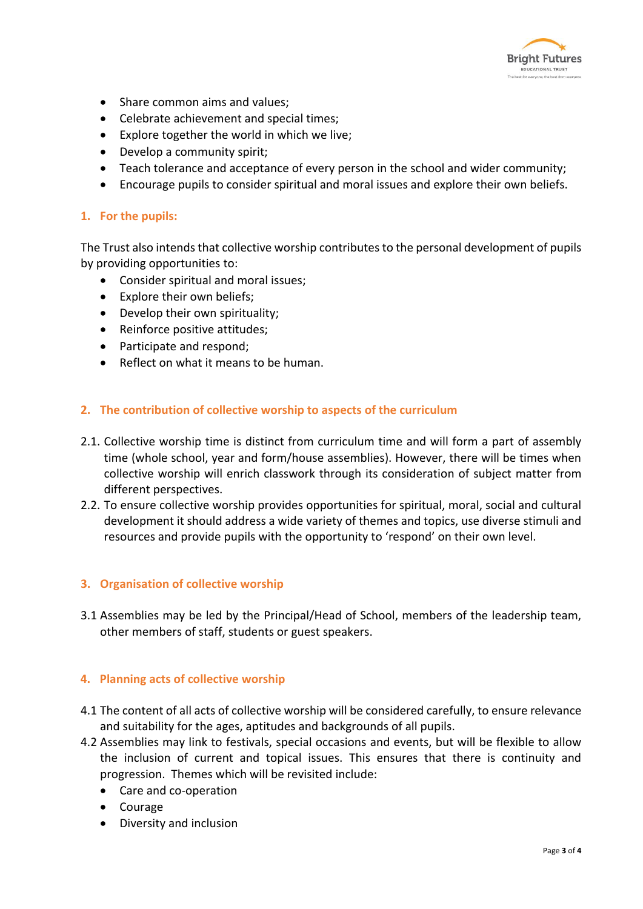

- Share common aims and values;
- Celebrate achievement and special times;
- Explore together the world in which we live;
- Develop a community spirit;
- Teach tolerance and acceptance of every person in the school and wider community;
- Encourage pupils to consider spiritual and moral issues and explore their own beliefs.

## **1. For the pupils:**

The Trust also intends that collective worship contributes to the personal development of pupils by providing opportunities to:

- Consider spiritual and moral issues;
- Explore their own beliefs;
- Develop their own spirituality;
- Reinforce positive attitudes;
- Participate and respond;
- Reflect on what it means to be human.

## **2. The contribution of collective worship to aspects of the curriculum**

- 2.1. Collective worship time is distinct from curriculum time and will form a part of assembly time (whole school, year and form/house assemblies). However, there will be times when collective worship will enrich classwork through its consideration of subject matter from different perspectives.
- 2.2. To ensure collective worship provides opportunities for spiritual, moral, social and cultural development it should address a wide variety of themes and topics, use diverse stimuli and resources and provide pupils with the opportunity to 'respond' on their own level.

## **3. Organisation of collective worship**

3.1 Assemblies may be led by the Principal/Head of School, members of the leadership team, other members of staff, students or guest speakers.

## **4. Planning acts of collective worship**

- 4.1 The content of all acts of collective worship will be considered carefully, to ensure relevance and suitability for the ages, aptitudes and backgrounds of all pupils.
- 4.2 Assemblies may link to festivals, special occasions and events, but will be flexible to allow the inclusion of current and topical issues. This ensures that there is continuity and progression. Themes which will be revisited include:
	- Care and co-operation
	- Courage
	- Diversity and inclusion